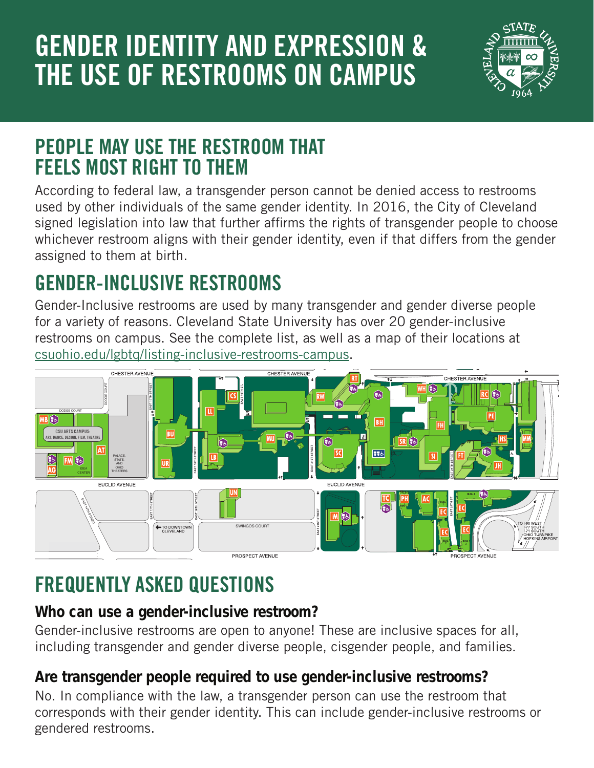# **GENDER IDENTITY AND EXPRESSION & THE USE OF RESTROOMS ON CAMPUS**



## **PEOPLE MAY USE THE RESTROOM THAT FEELS MOST RIGHT TO THEM**

signed legislation into law that further affirms the rights of transgender people to choose According to federal law, a transgender person cannot be denied access to restrooms<br>used by other individuals of the same gender identity. In 2016, the City of Cleveland used by other individuals of the same gender identity. In 2016, the City of Cleveland whichever restroom aligns with their gender identity, even if that differs from the gender assigned to them at birth.

# **GENDER-INCLUSIVE RESTROOMS**

**TD** [csuohio.edu/lgbtq/listing-inclusive-restrooms-campus.](http://csuohio.edu/lgbtq/listing-inclusive-restrooms-campus) Gender-Inclusive restrooms are used by many transgender and gender diverse people for a variety of reasons. Cleveland State University has over 20 gender-inclusive restrooms on campus. See the [complete list, as well as a map of their locations](https://www.csuohio.edu/lgbtq/listing-inclusive-restrooms-campus) at



#### ERIE Alphabetical **FREQUENTLY ASKED QUESTIONS**

#### $\Omega$ RESTROOMS ON OR NEAR THE UNIVERSITY'S CAMPUS EXTREMENTED<br>Who can use a d Allen Theatre......................................................................AT Parker Hannifin Administration Center............................ AC Who can use a gender-inclusive restroom?

Gender-inclusive re including transgen Parking and Transportation Services............................... EC Gender-inclusive restrooms are open to anyone! These are inclusive spaces for all, Robert Busbey Natatorium, Woodling Gymnasium er and gender diverse BH Berkman Hall 1st Floor: eop. BH 130 (Near north elevator lobby and CLASS Lounge) including transgender and gender diverse people, cisgender people, and families.

#### University Police Are transgender ennle reguired to us references were the control Are transgender people required to use gender-inclusive restrooms?

No. In compliance with the law, a transger corresponds with their gender identity. This can include gender-inclusive restrooms or Admissions; Parking & Transportation Services, Residence Life gendered restrooms. Washkewicz College of Engineering Science Building ................................................................ SI Student Center.................................................................. SC 3rd Floor: IM 318 (Next to gendered restrooms) No. In compliance with the law, a transgender person can use the restroom that